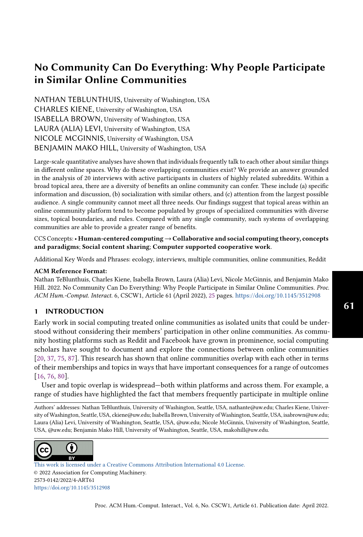# No Community Can Do Everything: Why People Participate in Similar Online Communities

NATHAN TEBLUNTHUIS, University of Washington, USA CHARLES KIENE, University of Washington, USA ISABELLA BROWN, University of Washington, USA LAURA (ALIA) LEVI, University of Washington, USA NICOLE MCGINNIS, University of Washington, USA BENJAMIN MAKO HILL, University of Washington, USA

Large-scale quantitative analyses have shown that individuals frequently talk to each other about similar things in different online spaces. Why do these overlapping communities exist? We provide an answer grounded in the analysis of 20 interviews with active participants in clusters of highly related subreddits. Within a broad topical area, there are a diversity of benefits an online community can confer. These include (a) specific information and discussion, (b) socialization with similar others, and (c) attention from the largest possible audience. A single community cannot meet all three needs. Our findings suggest that topical areas within an online community platform tend to become populated by groups of specialized communities with diverse sizes, topical boundaries, and rules. Compared with any single community, such systems of overlapping communities are able to provide a greater range of benefits.

CCS Concepts:• Human-centered computing→Collaborative and social computing theory, concepts and paradigms; Social content sharing; Computer supported cooperative work.

Additional Key Words and Phrases: ecology, interviews, multiple communities, online communities, Reddit

#### ACM Reference Format:

Nathan TeBlunthuis, Charles Kiene, Isabella Brown, Laura (Alia) Levi, Nicole McGinnis, and Benjamin Mako Hill. 2022. No Community Can Do Everything: Why People Participate in Similar Online Communities. Proc. ACM Hum.-Comput. Interact. 6, CSCW1, Article 61 (April 2022), [25](#page-24-0) pages. <https://doi.org/10.1145/3512908>

# 1 INTRODUCTION

Early work in social computing treated online communities as isolated units that could be understood without considering their members' participation in other online communities. As community hosting platforms such as Reddit and Facebook have grown in prominence, social computing scholars have sought to document and explore the connections between online communities [\[20,](#page-21-0) [37,](#page-22-0) [75,](#page-23-0) [87\]](#page-24-1). This research has shown that online communities overlap with each other in terms of their memberships and topics in ways that have important consequences for a range of outcomes [\[16,](#page-21-1) [76,](#page-23-1) [80\]](#page-23-2).

User and topic overlap is widespread—both within platforms and across them. For example, a range of studies have highlighted the fact that members frequently participate in multiple online

Authors' addresses: Nathan TeBlunthuis, University of Washington, Seattle, USA, nathante@uw.edu; Charles Kiene, University of Washington, Seattle, USA, ckiene@uw.edu; Isabella Brown, University of Washington, Seattle, USA, isabrown@uw.edu; Laura (Alia) Levi, University of Washington, Seattle, USA, @uw.edu; Nicole McGinnis, University of Washington, Seattle, USA, @uw.edu; Benjamin Mako Hill, University of Washington, Seattle, USA, makohill@uw.edu.



[This work is licensed under a Creative Commons Attribution International 4.0 License.](http://creativecommons.org/licenses/by/4.0/) © 2022 Association for Computing Machinery. 2573-0142/2022/4-ART61 <https://doi.org/10.1145/3512908>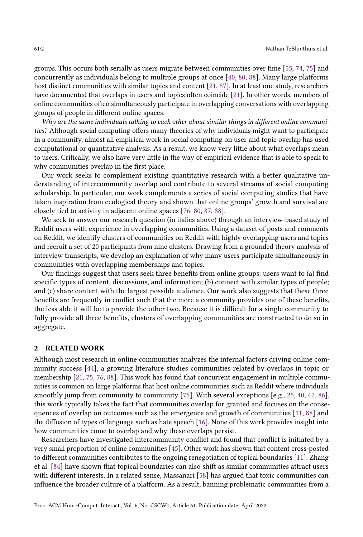groups. This occurs both serially as users migrate between communities over time [\[55,](#page-23-3) [74,](#page-23-4) [75\]](#page-23-0) and concurrently as individuals belong to multiple groups at once [\[40,](#page-22-1) [80,](#page-23-2) [88\]](#page-24-2). Many large platforms host distinct communities with similar topics and content [\[21,](#page-21-2) [87\]](#page-24-1). In at least one study, researchers have documented that overlaps in users and topics often coincide [\[21\]](#page-21-2). In other words, members of online communities often simultaneously participate in overlapping conversations with overlapping groups of people in different online spaces.

Why are the same individuals talking to each other about similar things in different online communities? Although social computing offers many theories of why individuals might want to participate in a community, almost all empirical work in social computing on user and topic overlap has used computational or quantitative analysis. As a result, we know very little about what overlaps mean to users. Critically, we also have very little in the way of empirical evidence that is able to speak to why communities overlap in the first place.

Our work seeks to complement existing quantitative research with a better qualitative understanding of intercommunity overlap and contribute to several streams of social computing scholarship. In particular, our work complements a series of social computing studies that have taken inspiration from ecological theory and shown that online groups' growth and survival are closely tied to activity in adjacent online spaces [\[76,](#page-23-1) [80,](#page-23-2) [87,](#page-24-1) [88\]](#page-24-2).

We seek to answer our research question (in italics above) through an interview-based study of Reddit users with experience in overlapping communities. Using a dataset of posts and comments on Reddit, we identify clusters of communities on Reddit with highly overlapping users and topics and recruit a set of 20 participants from nine clusters. Drawing from a grounded theory analysis of interview transcripts, we develop an explanation of why many users participate simultaneously in communities with overlapping memberships and topics.

Our findings suggest that users seek three benefits from online groups: users want to (a) find specific types of content, discussions, and information; (b) connect with similar types of people; and (c) share content with the largest possible audience. Our work also suggests that these three benefits are frequently in conflict such that the more a community provides one of these benefits, the less able it will be to provide the other two. Because it is difficult for a single community to fully provide all three benefits, clusters of overlapping communities are constructed to do so in aggregate.

# <span id="page-1-0"></span>2 RELATED WORK

Although most research in online communities analyzes the internal factors driving online community success [\[44\]](#page-22-2), a growing literature studies communities related by overlaps in topic or membership [\[21,](#page-21-2) [75,](#page-23-0) [76,](#page-23-1) [88\]](#page-24-2). This work has found that concurrent engagement in multiple communities is common on large platforms that host online communities such as Reddit where individuals smoothly jump from community to community [\[75\]](#page-23-0). With several exceptions [e.g., [25,](#page-21-3) [40,](#page-22-1) [42,](#page-22-3) [86\]](#page-24-3), this work typically takes the fact that communities overlap for granted and focuses on the consequences of overlap on outcomes such as the emergence and growth of communities [\[11,](#page-21-4) [88\]](#page-24-2) and the diffusion of types of language such as hate speech [\[16\]](#page-21-1). None of this work provides insight into how communities come to overlap and why these overlaps persist.

Researchers have investigated intercommunity conflict and found that conflict is initiated by a very small proportion of online communities [\[45\]](#page-22-4). Other work has shown that content cross-posted to different communities contributes to the ongoing renegotiation of topical boundaries [\[11\]](#page-21-4). Zhang et al. [\[84\]](#page-24-4) have shown that topical boundaries can also shift as similar communities attract users with different interests. In a related sense, Massanari [\[58\]](#page-23-5) has argued that toxic communities can influence the broader culture of a platform. As a result, banning problematic communities from a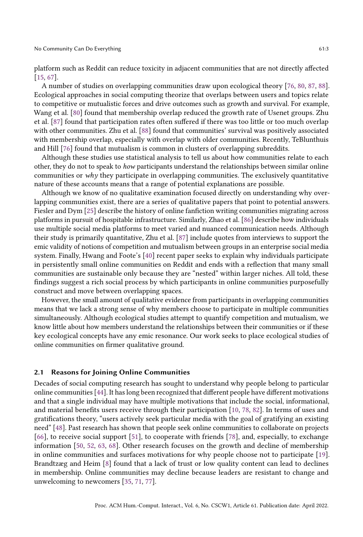platform such as Reddit can reduce toxicity in adjacent communities that are not directly affected [\[15,](#page-21-5) [67\]](#page-23-6).

A number of studies on overlapping communities draw upon ecological theory [\[76,](#page-23-1) [80,](#page-23-2) [87,](#page-24-1) [88\]](#page-24-2). Ecological approaches in social computing theorize that overlaps between users and topics relate to competitive or mutualistic forces and drive outcomes such as growth and survival. For example, Wang et al. [\[80\]](#page-23-2) found that membership overlap reduced the growth rate of Usenet groups. Zhu et al. [\[87\]](#page-24-1) found that participation rates often suffered if there was too little or too much overlap with other communities. Zhu et al. [\[88\]](#page-24-2) found that communities' survival was positively associated with membership overlap, especially with overlap with older communities. Recently, TeBlunthuis and Hill [\[76\]](#page-23-1) found that mutualism is common in clusters of overlapping subreddits.

Although these studies use statistical analysis to tell us about how communities relate to each other, they do not to speak to how participants understand the relationships between similar online communities or why they participate in overlapping communities. The exclusively quantitative nature of these accounts means that a range of potential explanations are possible.

Although we know of no qualitative examination focused directly on understanding why overlapping communities exist, there are a series of qualitative papers that point to potential answers. Fiesler and Dym [\[25\]](#page-21-3) describe the history of online fanfiction writing communities migrating across platforms in pursuit of hospitable infrastructure. Similarly, Zhao et al. [\[86\]](#page-24-3) describe how individuals use multiple social media platforms to meet varied and nuanced communication needs. Although their study is primarily quantitative, Zhu et al. [\[87\]](#page-24-1) include quotes from interviews to support the emic validity of notions of competition and mutualism between groups in an enterprise social media system. Finally, Hwang and Foote's [\[40\]](#page-22-1) recent paper seeks to explain why individuals participate in persistently small online communities on Reddit and ends with a reflection that many small communities are sustainable only because they are "nested" within larger niches. All told, these findings suggest a rich social process by which participants in online communities purposefully construct and move between overlapping spaces.

However, the small amount of qualitative evidence from participants in overlapping communities means that we lack a strong sense of why members choose to participate in multiple communities simultaneously. Although ecological studies attempt to quantify competition and mutualism, we know little about how members understand the relationships between their communities or if these key ecological concepts have any emic resonance. Our work seeks to place ecological studies of online communities on firmer qualitative ground.

#### <span id="page-2-0"></span>2.1 Reasons for Joining Online Communities

Decades of social computing research has sought to understand why people belong to particular online communities [\[44\]](#page-22-2). It has long been recognized that different people have different motivations and that a single individual may have multiple motivations that include the social, informational, and material benefits users receive through their participation [\[10,](#page-20-0) [78,](#page-23-7) [82\]](#page-24-5). In terms of uses and gratifications theory, "users actively seek particular media with the goal of gratifying an existing need" [\[48\]](#page-22-5). Past research has shown that people seek online communities to collaborate on projects [\[66\]](#page-23-8), to receive social support [\[51\]](#page-22-6), to cooperate with friends [\[78\]](#page-23-7), and, especially, to exchange information [\[50,](#page-22-7) [52,](#page-22-8) [63,](#page-23-9) [68\]](#page-23-10). Other research focuses on the growth and decline of membership in online communities and surfaces motivations for why people choose not to participate [\[19\]](#page-21-6). Brandtzæg and Heim [\[8\]](#page-20-1) found that a lack of trust or low quality content can lead to declines in membership. Online communities may decline because leaders are resistant to change and unwelcoming to newcomers [\[35,](#page-22-9) [71,](#page-23-11) [77\]](#page-23-12).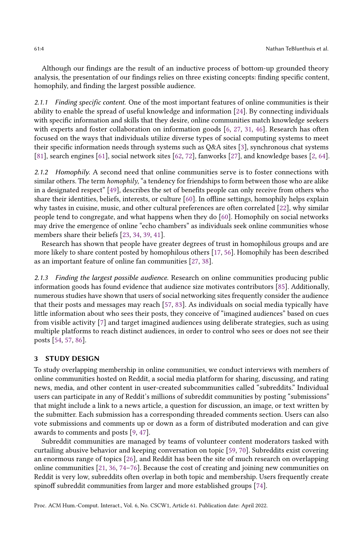Although our findings are the result of an inductive process of bottom-up grounded theory analysis, the presentation of our findings relies on three existing concepts: finding specific content, homophily, and finding the largest possible audience.

2.1.1 Finding specific content. One of the most important features of online communities is their ability to enable the spread of useful knowledge and information [\[24\]](#page-21-7). By connecting individuals with specific information and skills that they desire, online communities match knowledge seekers with experts and foster collaboration on information goods [\[6,](#page-20-2) [27,](#page-21-8) [31,](#page-21-9) [46\]](#page-22-10). Research has often focused on the ways that individuals utilize diverse types of social computing systems to meet their specific information needs through systems such as Q&A sites [\[3\]](#page-20-3), synchronous chat systems [\[81\]](#page-24-6), search engines [\[61\]](#page-23-13), social network sites [\[62,](#page-23-14) [72\]](#page-23-15), fanworks [\[27\]](#page-21-8), and knowledge bases [\[2,](#page-20-4) [64\]](#page-23-16).

2.1.2 Homophily. A second need that online communities serve is to foster connections with similar others. The term *homophily*, "a tendency for friendships to form between those who are alike in a designated respect" [\[49\]](#page-22-11), describes the set of benefits people can only receive from others who share their identities, beliefs, interests, or culture [\[60\]](#page-23-17). In offline settings, homophily helps explain why tastes in cuisine, music, and other cultural preferences are often correlated [\[22\]](#page-21-10), why similar people tend to congregate, and what happens when they do [\[60\]](#page-23-17). Homophily on social networks may drive the emergence of online "echo chambers" as individuals seek online communities whose members share their beliefs [\[23,](#page-21-11) [34,](#page-21-12) [39,](#page-22-12) [41\]](#page-22-13).

Research has shown that people have greater degrees of trust in homophilous groups and are more likely to share content posted by homophilous others [\[17,](#page-21-13) [56\]](#page-23-18). Homophily has been described as an important feature of online fan communities [\[27,](#page-21-8) [38\]](#page-22-14).

2.1.3 Finding the largest possible audience. Research on online communities producing public information goods has found evidence that audience size motivates contributors [\[85\]](#page-24-7). Additionally, numerous studies have shown that users of social networking sites frequently consider the audience that their posts and messages may reach [\[57,](#page-23-19) [83\]](#page-24-8). As individuals on social media typically have little information about who sees their posts, they conceive of "imagined audiences" based on cues from visible activity [\[7\]](#page-20-5) and target imagined audiences using deliberate strategies, such as using multiple platforms to reach distinct audiences, in order to control who sees or does not see their posts [\[54,](#page-22-15) [57,](#page-23-19) [86\]](#page-24-3).

### 3 STUDY DESIGN

To study overlapping membership in online communities, we conduct interviews with members of online communities hosted on Reddit, a social media platform for sharing, discussing, and rating news, media, and other content in user-created subcommunities called "subreddits." Individual users can participate in any of Reddit's millions of subreddit communities by posting "submissions" that might include a link to a news article, a question for discussion, an image, or text written by the submitter. Each submission has a corresponding threaded comments section. Users can also vote submissions and comments up or down as a form of distributed moderation and can give awards to comments and posts [\[9,](#page-20-6) [47\]](#page-22-16).

Subreddit communities are managed by teams of volunteer content moderators tasked with curtailing abusive behavior and keeping conversation on topic [\[59,](#page-23-20) [70\]](#page-23-21). Subreddits exist covering an enormous range of topics [\[26\]](#page-21-14), and Reddit has been the site of much research on overlapping online communities [\[21,](#page-21-2) [36,](#page-22-17) [74–](#page-23-4)[76\]](#page-23-1). Because the cost of creating and joining new communities on Reddit is very low, subreddits often overlap in both topic and membership. Users frequently create spinoff subreddit communities from larger and more established groups [\[74\]](#page-23-4).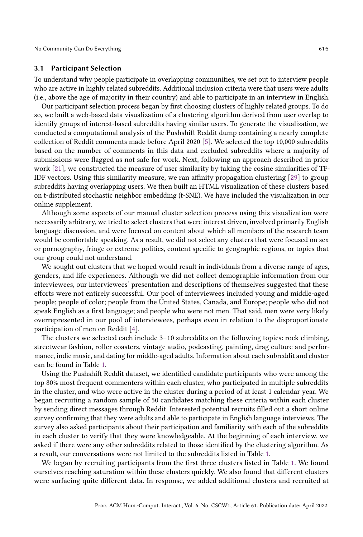## 3.1 Participant Selection

To understand why people participate in overlapping communities, we set out to interview people who are active in highly related subreddits. Additional inclusion criteria were that users were adults (i.e., above the age of majority in their country) and able to participate in an interview in English.

Our participant selection process began by first choosing clusters of highly related groups. To do so, we built a web-based data visualization of a clustering algorithm derived from user overlap to identify groups of interest-based subreddits having similar users. To generate the visualization, we conducted a computational analysis of the Pushshift Reddit dump containing a nearly complete collection of Reddit comments made before April 2020 [\[5\]](#page-20-7). We selected the top 10,000 subreddits based on the number of comments in this data and excluded subreddits where a majority of submissions were flagged as not safe for work. Next, following an approach described in prior work [\[21\]](#page-21-2), we constructed the measure of user similarity by taking the cosine similarities of TF-IDF vectors. Using this similarity measure, we ran affinity propagation clustering [\[29\]](#page-21-15) to group subreddits having overlapping users. We then built an HTML visualization of these clusters based on t-distributed stochastic neighbor embedding (t-SNE). We have included the visualization in our online supplement.

Although some aspects of our manual cluster selection process using this visualization were necessarily arbitrary, we tried to select clusters that were interest driven, involved primarily English language discussion, and were focused on content about which all members of the research team would be comfortable speaking. As a result, we did not select any clusters that were focused on sex or pornography, fringe or extreme politics, content specific to geographic regions, or topics that our group could not understand.

We sought out clusters that we hoped would result in individuals from a diverse range of ages, genders, and life experiences. Although we did not collect demographic information from our interviewees, our interviewees' presentation and descriptions of themselves suggested that these efforts were not entirely successful. Our pool of interviewees included young and middle-aged people; people of color; people from the United States, Canada, and Europe; people who did not speak English as a first language; and people who were not men. That said, men were very likely overrepresented in our pool of interviewees, perhaps even in relation to the disproportionate participation of men on Reddit [\[4\]](#page-20-8).

The clusters we selected each include 3–10 subreddits on the following topics: rock climbing, streetwear fashion, roller coasters, vintage audio, podcasting, painting, drag culture and performance, indie music, and dating for middle-aged adults. Information about each subreddit and cluster can be found in Table [1.](#page-5-0)

Using the Pushshift Reddit dataset, we identified candidate participants who were among the top 80% most frequent commenters within each cluster, who participated in multiple subreddits in the cluster, and who were active in the cluster during a period of at least 1 calendar year. We began recruiting a random sample of 50 candidates matching these criteria within each cluster by sending direct messages through Reddit. Interested potential recruits filled out a short online survey confirming that they were adults and able to participate in English language interviews. The survey also asked participants about their participation and familiarity with each of the subreddits in each cluster to verify that they were knowledgeable. At the beginning of each interview, we asked if there were any other subreddits related to those identified by the clustering algorithm. As a result, our conversations were not limited to the subreddits listed in Table [1.](#page-5-0)

We began by recruiting participants from the first three clusters listed in Table [1.](#page-5-0) We found ourselves reaching saturation within these clusters quickly. We also found that different clusters were surfacing quite different data. In response, we added additional clusters and recruited at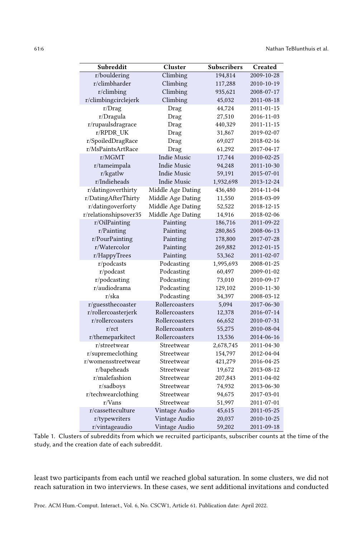<span id="page-5-0"></span>

| Subreddit             | Cluster            | <b>Subscribers</b> | Created    |
|-----------------------|--------------------|--------------------|------------|
| r/bouldering          | Climbing           | 194,814            | 2009-10-28 |
| r/climbharder         | Climbing           | 117,288            | 2010-10-19 |
| $r$ /climbing         | Climbing           | 935,621            | 2008-07-17 |
| r/climbingcirclejerk  | Climbing           | 45,032             | 2011-08-18 |
| r/Drag                | Drag               | 44,724             | 2011-01-15 |
| r/Dragula             | Drag               | 27,510             | 2016-11-03 |
| r/rupaulsdragrace     | Drag               | 440,329            | 2011-11-15 |
| r/RPDR_UK             | Drag               | 31,867             | 2019-02-07 |
| r/SpoiledDragRace     | Drag               | 69,027             | 2018-02-16 |
| r/MsPaintsArtRace     | Drag               | 61,292             | 2017-04-17 |
| r/MGMT                | <b>Indie Music</b> | 17,744             | 2010-02-25 |
| r/tameimpala          | <b>Indie Music</b> | 94,248             | 2011-10-30 |
| $r/kg$ atlw           | <b>Indie Music</b> | 59,191             | 2015-07-01 |
| r/Indieheads          | <b>Indie Music</b> | 1,932,698          | 2013-12-24 |
| r/datingoverthirty    | Middle Age Dating  | 436,480            | 2014-11-04 |
| r/DatingAfterThirty   | Middle Age Dating  | 11,550             | 2018-03-09 |
| r/datingoverforty     | Middle Age Dating  | 52,522             | 2018-12-15 |
| r/relationshipsover35 | Middle Age Dating  | 14,916             | 2018-02-06 |
| r/OilPainting         | Painting           | 186,716            | 2011-09-22 |
| $r/P$ ainting         | Painting           | 280,865            | 2008-06-13 |
| r/PourPainting        | Painting           | 178,800            | 2017-07-28 |
| r/Watercolor          | Painting           | 269,882            | 2012-01-15 |
| r/HappyTrees          | Painting           | 53,362             | 2011-02-07 |
| $r$ /podcasts         | Podcasting         | 1,995,693          | 2008-01-25 |
| r/podcast             | Podcasting         | 60,497             | 2009-01-02 |
| r/podcasting          | Podcasting         | 73,010             | 2010-09-17 |
| r/audiodrama          | Podcasting         | 129,102            | 2010-11-30 |
| r/ska                 | Podcasting         | 34,397             | 2008-03-12 |
| r/guessthecoaster     | Rollercoasters     | 5,094              | 2017-06-30 |
| r/rollercoasterjerk   | Rollercoasters     | 12,378             | 2016-07-14 |
| r/rollercoasters      | Rollercoasters     | 66,652             | 2010-07-31 |
| r/rt                  | Rollercoasters     | 55,275             | 2010-08-04 |
| r/themeparkitect      | Rollercoasters     | 13,536             | 2014-06-16 |
| r/streetwear          | Streetwear         | 2,678,745          | 2011-04-30 |
| r/supremeclothing     | Streetwear         | 154,797            | 2012-04-04 |
| r/womensstreetwear    | Streetwear         | 421,279            | 2016-04-25 |
| r/bapeheads           | Streetwear         | 19,672             | 2013-08-12 |
| r/malefashion         | Streetwear         | 207,843            | 2011-04-02 |
| r/sadboys             | Streetwear         | 74,932             | 2013-06-30 |
| r/techwearclothing    | Streetwear         | 94,675             | 2017-03-01 |
| r/Vans                | Streetwear         | 51,997             | 2011-07-01 |
| r/cassetteculture     | Vintage Audio      | 45,615             | 2011-05-25 |
| r/typewriters         | Vintage Audio      | 20,037             | 2010-10-25 |
| r/vintageaudio        | Vintage Audio      | 59,202             | 2011-09-18 |

Table 1. Clusters of subreddits from which we recruited participants, subscriber counts at the time of the study, and the creation date of each subreddit.

least two participants from each until we reached global saturation. In some clusters, we did not reach saturation in two interviews. In these cases, we sent additional invitations and conducted

Proc. ACM Hum.-Comput. Interact., Vol. 6, No. CSCW1, Article 61. Publication date: April 2022.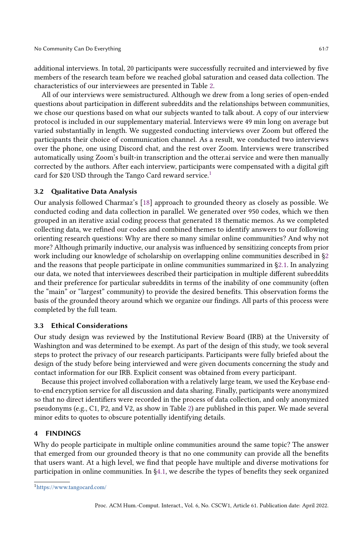additional interviews. In total, 20 participants were successfully recruited and interviewed by five members of the research team before we reached global saturation and ceased data collection. The characteristics of our interviewees are presented in Table [2.](#page-7-0)

All of our interviews were semistructured. Although we drew from a long series of open-ended questions about participation in different subreddits and the relationships between communities, we chose our questions based on what our subjects wanted to talk about. A copy of our interview protocol is included in our supplementary material. Interviews were 49 min long on average but varied substantially in length. We suggested conducting interviews over Zoom but offered the participants their choice of communication channel. As a result, we conducted two interviews over the phone, one using Discord chat, and the rest over Zoom. Interviews were transcribed automatically using Zoom's built-in transcription and the otter.ai service and were then manually corrected by the authors. After each interview, participants were compensated with a digital gift card for \$20 USD through the Tango Card reward service.<sup>[1](#page-6-0)</sup>

# 3.2 Qualitative Data Analysis

Our analysis followed Charmaz's [\[18\]](#page-21-16) approach to grounded theory as closely as possible. We conducted coding and data collection in parallel. We generated over 950 codes, which we then grouped in an iterative axial coding process that generated 18 thematic memos. As we completed collecting data, we refined our codes and combined themes to identify answers to our following orienting research questions: Why are there so many similar online communities? And why not more? Although primarily inductive, our analysis was influenced by sensitizing concepts from prior work including our knowledge of scholarship on overlapping online communities described in [§2](#page-1-0) and the reasons that people participate in online communities summarized in [§2.1.](#page-2-0) In analyzing our data, we noted that interviewees described their participation in multiple different subreddits and their preference for particular subreddits in terms of the inability of one community (often the "main" or "largest" community) to provide the desired benefits. This observation forms the basis of the grounded theory around which we organize our findings. All parts of this process were completed by the full team.

# 3.3 Ethical Considerations

Our study design was reviewed by the Institutional Review Board (IRB) at the University of Washington and was determined to be exempt. As part of the design of this study, we took several steps to protect the privacy of our research participants. Participants were fully briefed about the design of the study before being interviewed and were given documents concerning the study and contact information for our IRB. Explicit consent was obtained from every participant.

Because this project involved collaboration with a relatively large team, we used the Keybase endto-end encryption service for all discussion and data sharing. Finally, participants were anonymized so that no direct identifiers were recorded in the process of data collection, and only anonymized pseudonyms (e.g., C1, P2, and V2, as show in Table [2\)](#page-7-0) are published in this paper. We made several minor edits to quotes to obscure potentially identifying details.

## 4 FINDINGS

Why do people participate in multiple online communities around the same topic? The answer that emerged from our grounded theory is that no one community can provide all the benefits that users want. At a high level, we find that people have multiple and diverse motivations for participation in online communities. In [§4.1,](#page-7-1) we describe the types of benefits they seek organized

<span id="page-6-0"></span><sup>1</sup><https://www.tangocard.com/>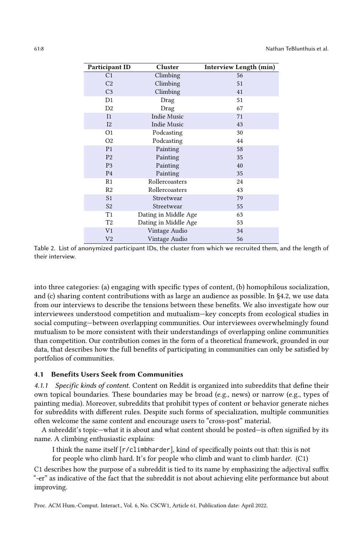<span id="page-7-0"></span>

| Participant ID | Cluster              | Interview Length (min) |
|----------------|----------------------|------------------------|
| C <sub>1</sub> | Climbing             | 56                     |
| C <sub>2</sub> | Climbing             | 51                     |
| C <sub>3</sub> | Climbing             | 41                     |
| D <sub>1</sub> | Drag                 | 51                     |
| D <sub>2</sub> | Drag                 | 67                     |
| I <sub>1</sub> | <b>Indie Music</b>   | 71                     |
| I2             | <b>Indie Music</b>   | 43                     |
| O <sub>1</sub> | Podcasting           | 30                     |
| O <sub>2</sub> | Podcasting           | 44                     |
| P <sub>1</sub> | Painting             | 58                     |
| P <sub>2</sub> | Painting             | 35                     |
| P <sub>3</sub> | Painting             | 40                     |
| P <sub>4</sub> | Painting             | 35                     |
| R1             | Rollercoasters       | 24                     |
| R <sub>2</sub> | Rollercoasters       | 43                     |
| S <sub>1</sub> | Streetwear           | 79                     |
| S <sub>2</sub> | Streetwear           | 55                     |
| T1             | Dating in Middle Age | 63                     |
| T2             | Dating in Middle Age | 53                     |
| V <sub>1</sub> | Vintage Audio        | 34                     |
| V <sub>2</sub> | Vintage Audio        | 56                     |

Table 2. List of anonymized participant IDs, the cluster from which we recruited them, and the length of their interview.

into three categories: (a) engaging with specific types of content, (b) homophilous socialization, and (c) sharing content contributions with as large an audience as possible. In §4.2, we use data from our interviews to describe the tensions between these benefits. We also investigate how our interviewees understood competition and mutualism—key concepts from ecological studies in social computing—between overlapping communities. Our interviewees overwhelmingly found mutualism to be more consistent with their understandings of overlapping online communities than competition. Our contribution comes in the form of a theoretical framework, grounded in our data, that describes how the full benefits of participating in communities can only be satisfied by portfolios of communities.

# <span id="page-7-1"></span>4.1 Benefits Users Seek from Communities

<span id="page-7-2"></span>4.1.1 Specific kinds of content. Content on Reddit is organized into subreddits that define their own topical boundaries. These boundaries may be broad (e.g., news) or narrow (e.g., types of painting media). Moreover, subreddits that prohibit types of content or behavior generate niches for subreddits with different rules. Despite such forms of specialization, multiple communities often welcome the same content and encourage users to "cross-post" material.

A subreddit's topic—what it is about and what content should be posted—is often signified by its name. A climbing enthusiastic explains:

I think the name itself [r/climbharder], kind of specifically points out that: this is not

for people who climb hard. It's for people who climb and want to climb harder. (C1)

C1 describes how the purpose of a subreddit is tied to its name by emphasizing the adjectival suffix "-er" as indicative of the fact that the subreddit is not about achieving elite performance but about improving.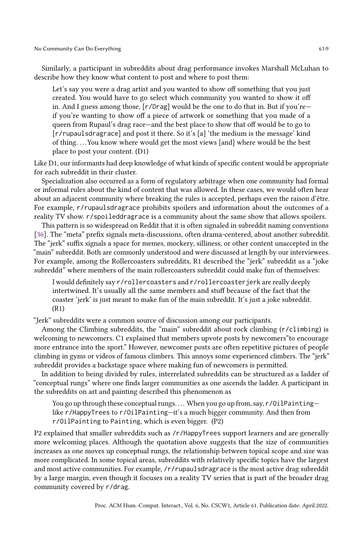Similarly, a participant in subreddits about drag performance invokes Marshall McLuhan to describe how they know what content to post and where to post them:

Let's say you were a drag artist and you wanted to show off something that you just created. You would have to go select which community you wanted to show it off in. And I guess among those, [r/Drag] would be the one to do that in. But if you're if you're wanting to show off a piece of artwork or something that you made of a queen from Rupaul's drag race—and the best place to show that off would be to go to [r/rupaulsdragrace] and post it there. So it's [a] 'the medium is the message' kind of thing. . . . You know where would get the most views [and] where would be the best place to post your content. (D1)

Like D1, our informants had deep knowledge of what kinds of specific content would be appropriate for each subreddit in their cluster.

Specialization also occurred as a form of regulatory arbitrage when one community had formal or informal rules about the kind of content that was allowed. In these cases, we would often hear about an adjacent community where breaking the rules is accepted, perhaps even the raison d'être. For example, r/rupaulsdragrace prohibits spoilers and information about the outcomes of a reality TV show. r/spoileddragrace is a community about the same show that allows spoilers.

This pattern is so widespread on Reddit that it is often signaled in subreddit naming conventions [\[36\]](#page-22-17). The "meta" prefix signals meta-discussions, often drama-centered, about another subreddit. The "jerk" suffix signals a space for memes, mockery, silliness, or other content unaccepted in the "main" subreddit. Both are commonly understood and were discussed at length by our interviewees. For example, among the Rollercoasters subreddits, R1 described the "jerk" subreddit as a "joke subreddit" where members of the main rollercoasters subreddit could make fun of themselves:

I would definitely say r/rollercoasters and r/rollercoasterjerk are really deeply intertwined. It's usually all the same members and stuff because of the fact that the coaster 'jerk' is just meant to make fun of the main subreddit. It's just a joke subreddit. (R1)

"Jerk" subreddits were a common source of discussion among our participants.

Among the Climbing subreddits, the "main" subreddit about rock climbing (r/climbing) is welcoming to newcomers. C1 explained that members upvote posts by newcomers"to encourage more entrance into the sport." However, newcomer posts are often repetitive pictures of people climbing in gyms or videos of famous climbers. This annoys some experienced climbers. The "jerk" subreddit provides a backstage space where making fun of newcomers is permitted.

In addition to being divided by rules, interrelated subreddits can be structured as a ladder of "conceptual rungs" where one finds larger communities as one ascends the ladder. A participant in the subreddits on art and painting described this phenomenon as

You go up through these conceptual rungs.... When you go up from, say, r/OilPaintinglike r/HappyTrees to r/OilPainting—it's a much bigger community. And then from r/OilPainting to Painting, which is even bigger. (P2)

P2 explained that smaller subreddits such as /r/HappyTrees support learners and are generally more welcoming places. Although the quotation above suggests that the size of communities increases as one moves up conceptual rungs, the relationship between topical scope and size was more complicated. In some topical areas, subreddits with relatively specific topics have the largest and most active communities. For example, /r/rupaulsdragrace is the most active drag subreddit by a large margin, even though it focuses on a reality TV series that is part of the broader drag community covered by r/drag.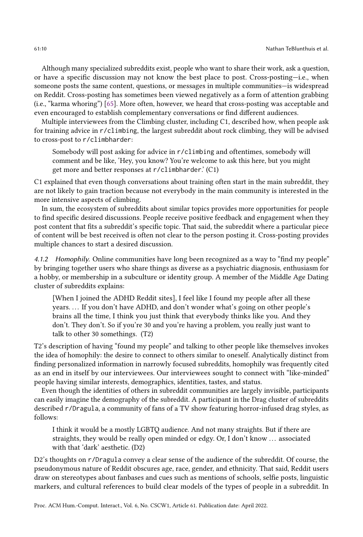Although many specialized subreddits exist, people who want to share their work, ask a question, or have a specific discussion may not know the best place to post. Cross-posting—i.e., when someone posts the same content, questions, or messages in multiple communities—is widespread on Reddit. Cross-posting has sometimes been viewed negatively as a form of attention grabbing (i.e., "karma whoring") [\[65\]](#page-23-22). More often, however, we heard that cross-posting was acceptable and even encouraged to establish complementary conversations or find different audiences.

Multiple interviewees from the Climbing cluster, including C1, described how, when people ask for training advice in r/climbing, the largest subreddit about rock climbing, they will be advised to cross-post to r/climbharder:

Somebody will post asking for advice in r/climbing and oftentimes, somebody will comment and be like, 'Hey, you know? You're welcome to ask this here, but you might get more and better responses at r/climbharder.' (C1)

C1 explained that even though conversations about training often start in the main subreddit, they are not likely to gain traction because not everybody in the main community is interested in the more intensive aspects of climbing.

In sum, the ecosystem of subreddits about similar topics provides more opportunities for people to find specific desired discussions. People receive positive feedback and engagement when they post content that fits a subreddit's specific topic. That said, the subreddit where a particular piece of content will be best received is often not clear to the person posting it. Cross-posting provides multiple chances to start a desired discussion.

4.1.2 Homophily. Online communities have long been recognized as a way to "find my people" by bringing together users who share things as diverse as a psychiatric diagnosis, enthusiasm for a hobby, or membership in a subculture or identity group. A member of the Middle Age Dating cluster of subreddits explains:

[When I joined the ADHD Reddit sites], I feel like I found my people after all these years. ... If you don't have ADHD, and don't wonder what's going on other people's brains all the time, I think you just think that everybody thinks like you. And they don't. They don't. So if you're 30 and you're having a problem, you really just want to talk to other 30 somethings. (T2)

T2's description of having "found my people" and talking to other people like themselves invokes the idea of homophily: the desire to connect to others similar to oneself. Analytically distinct from finding personalized information in narrowly focused subreddits, homophily was frequently cited as an end in itself by our interviewees. Our interviewees sought to connect with "like-minded" people having similar interests, demographics, identities, tastes, and status.

Even though the identities of others in subreddit communities are largely invisible, participants can easily imagine the demography of the subreddit. A participant in the Drag cluster of subreddits described r/Dragula, a community of fans of a TV show featuring horror-infused drag styles, as follows:

I think it would be a mostly LGBTQ audience. And not many straights. But if there are straights, they would be really open minded or edgy. Or, I don't know ... associated with that 'dark' aesthetic. (D2)

D2's thoughts on r/Dragula convey a clear sense of the audience of the subreddit. Of course, the pseudonymous nature of Reddit obscures age, race, gender, and ethnicity. That said, Reddit users draw on stereotypes about fanbases and cues such as mentions of schools, selfie posts, linguistic markers, and cultural references to build clear models of the types of people in a subreddit. In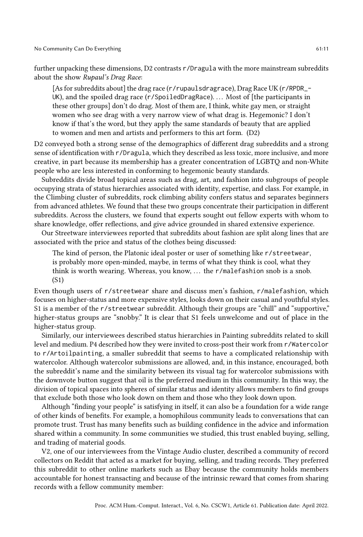further unpacking these dimensions, D2 contrasts r/Dragula with the more mainstream subreddits about the show Rupaul's Drag Race:

[As for subreddits about] the drag race (r/rupaulsdragrace), Drag Race UK (r/RPDR\_- UK), and the spoiled drag race (r/SpoiledDragRace). ... Most of [the participants in these other groups] don't do drag. Most of them are, I think, white gay men, or straight women who see drag with a very narrow view of what drag is. Hegemonic? I don't know if that's the word, but they apply the same standards of beauty that are applied to women and men and artists and performers to this art form. (D2)

D2 conveyed both a strong sense of the demographics of different drag subreddits and a strong sense of identification with r/Dragula, which they described as less toxic, more inclusive, and more creative, in part because its membership has a greater concentration of LGBTQ and non-White people who are less interested in conforming to hegemonic beauty standards.

Subreddits divide broad topical areas such as drag, art, and fashion into subgroups of people occupying strata of status hierarchies associated with identity, expertise, and class. For example, in the Climbing cluster of subreddits, rock climbing ability confers status and separates beginners from advanced athletes. We found that these two groups concentrate their participation in different subreddits. Across the clusters, we found that experts sought out fellow experts with whom to share knowledge, offer reflections, and give advice grounded in shared extensive experience.

Our Streetware interviewees reported that subreddits about fashion are split along lines that are associated with the price and status of the clothes being discussed:

The kind of person, the Platonic ideal poster or user of something like r/streetwear, is probably more open-minded, maybe, in terms of what they think is cool, what they think is worth wearing. Whereas, you know,  $\dots$  the r/malefashion snob is a snob. (S1)

Even though users of r/streetwear share and discuss men's fashion, r/malefashion, which focuses on higher-status and more expensive styles, looks down on their casual and youthful styles. S1 is a member of the r/streetwear subreddit. Although their groups are "chill" and "supportive," higher-status groups are "snobby." It is clear that S1 feels unwelcome and out of place in the higher-status group.

Similarly, our interviewees described status hierarchies in Painting subreddits related to skill level and medium. P4 described how they were invited to cross-post their work from r/Watercolor to r/Artoilpainting, a smaller subreddit that seems to have a complicated relationship with watercolor. Although watercolor submissions are allowed, and, in this instance, encouraged, both the subreddit's name and the similarity between its visual tag for watercolor submissions with the downvote button suggest that oil is the preferred medium in this community. In this way, the division of topical spaces into spheres of similar status and identity allows members to find groups that exclude both those who look down on them and those who they look down upon.

Although "finding your people" is satisfying in itself, it can also be a foundation for a wide range of other kinds of benefits. For example, a homophilous community leads to conversations that can promote trust. Trust has many benefits such as building confidence in the advice and information shared within a community. In some communities we studied, this trust enabled buying, selling, and trading of material goods.

V2, one of our interviewees from the Vintage Audio cluster, described a community of record collectors on Reddit that acted as a market for buying, selling, and trading records. They preferred this subreddit to other online markets such as Ebay because the community holds members accountable for honest transacting and because of the intrinsic reward that comes from sharing records with a fellow community member: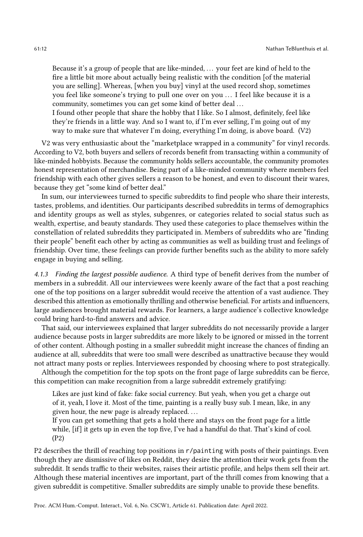Because it's a group of people that are like-minded, ... your feet are kind of held to the fire a little bit more about actually being realistic with the condition [of the material you are selling]. Whereas, [when you buy] vinyl at the used record shop, sometimes you feel like someone's trying to pull one over on you . . . I feel like because it is a community, sometimes you can get some kind of better deal ...

I found other people that share the hobby that I like. So I almost, definitely, feel like they're friends in a little way. And so I want to, if I'm ever selling, I'm going out of my way to make sure that whatever I'm doing, everything I'm doing, is above board. (V2)

V2 was very enthusiastic about the "marketplace wrapped in a community" for vinyl records. According to V2, both buyers and sellers of records benefit from transacting within a community of like-minded hobbyists. Because the community holds sellers accountable, the community promotes honest representation of merchandise. Being part of a like-minded community where members feel friendship with each other gives sellers a reason to be honest, and even to discount their wares, because they get "some kind of better deal."

In sum, our interviewees turned to specific subreddits to find people who share their interests, tastes, problems, and identities. Our participants described subreddits in terms of demographics and identity groups as well as styles, subgenres, or categories related to social status such as wealth, expertise, and beauty standards. They used these categories to place themselves within the constellation of related subreddits they participated in. Members of subreddits who are "finding their people" benefit each other by acting as communities as well as building trust and feelings of friendship. Over time, these feelings can provide further benefits such as the ability to more safely engage in buying and selling.

4.1.3 Finding the largest possible audience. A third type of benefit derives from the number of members in a subreddit. All our interviewees were keenly aware of the fact that a post reaching one of the top positions on a larger subreddit would receive the attention of a vast audience. They described this attention as emotionally thrilling and otherwise beneficial. For artists and influencers, large audiences brought material rewards. For learners, a large audience's collective knowledge could bring hard-to-find answers and advice.

That said, our interviewees explained that larger subreddits do not necessarily provide a larger audience because posts in larger subreddits are more likely to be ignored or missed in the torrent of other content. Although posting in a smaller subreddit might increase the chances of finding an audience at all, subreddits that were too small were described as unattractive because they would not attract many posts or replies. Interviewees responded by choosing where to post strategically.

Although the competition for the top spots on the front page of large subreddits can be fierce, this competition can make recognition from a large subreddit extremely gratifying:

Likes are just kind of fake: fake social currency. But yeah, when you get a charge out of it, yeah, I love it. Most of the time, painting is a really busy sub. I mean, like, in any given hour, the new page is already replaced....

If you can get something that gets a hold there and stays on the front page for a little while, [if] it gets up in even the top five, I've had a handful do that. That's kind of cool. (P2)

P2 describes the thrill of reaching top positions in r/painting with posts of their paintings. Even though they are dismissive of likes on Reddit, they desire the attention their work gets from the subreddit. It sends traffic to their websites, raises their artistic profile, and helps them sell their art. Although these material incentives are important, part of the thrill comes from knowing that a given subreddit is competitive. Smaller subreddits are simply unable to provide these benefits.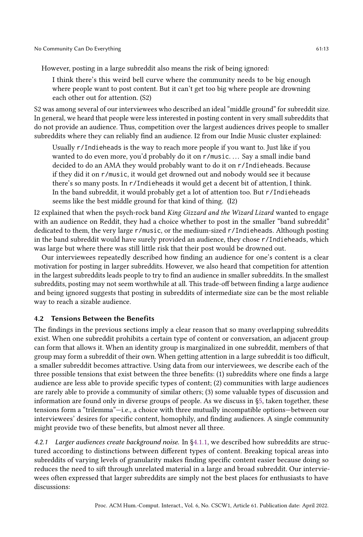However, posting in a large subreddit also means the risk of being ignored:

I think there's this weird bell curve where the community needs to be big enough where people want to post content. But it can't get too big where people are drowning each other out for attention. (S2)

S2 was among several of our interviewees who described an ideal "middle ground" for subreddit size. In general, we heard that people were less interested in posting content in very small subreddits that do not provide an audience. Thus, competition over the largest audiences drives people to smaller subreddits where they can reliably find an audience. I2 from our Indie Music cluster explained:

Usually r/Indieheads is the way to reach more people if you want to. Just like if you wanted to do even more, you'd probably do it on r/music.... Say a small indie band decided to do an AMA they would probably want to do it on r/Indieheads. Because if they did it on r/music, it would get drowned out and nobody would see it because there's so many posts. In r/Indieheads it would get a decent bit of attention, I think. In the band subreddit, it would probably get a lot of attention too. But r/Indieheads seems like the best middle ground for that kind of thing. (I2)

I2 explained that when the psych-rock band King Gizzard and the Wizard Lizard wanted to engage with an audience on Reddit, they had a choice whether to post in the smaller "band subreddit" dedicated to them, the very large r/music, or the medium-sized r/Indieheads. Although posting in the band subreddit would have surely provided an audience, they chose r/Indieheads, which was large but where there was still little risk that their post would be drowned out.

Our interviewees repeatedly described how finding an audience for one's content is a clear motivation for posting in larger subreddits. However, we also heard that competition for attention in the largest subreddits leads people to try to find an audience in smaller subreddits. In the smallest subreddits, posting may not seem worthwhile at all. This trade-off between finding a large audience and being ignored suggests that posting in subreddits of intermediate size can be the most reliable way to reach a sizable audience.

#### <span id="page-12-0"></span>4.2 Tensions Between the Benefits

The findings in the previous sections imply a clear reason that so many overlapping subreddits exist. When one subreddit prohibits a certain type of content or conversation, an adjacent group can form that allows it. When an identity group is marginalized in one subreddit, members of that group may form a subreddit of their own. When getting attention in a large subreddit is too difficult, a smaller subreddit becomes attractive. Using data from our interviewees, we describe each of the three possible tensions that exist between the three benefits: (1) subreddits where one finds a large audience are less able to provide specific types of content; (2) communities with large audiences are rarely able to provide a community of similar others; (3) some valuable types of discussion and information are found only in diverse groups of people. As we discuss in [§5,](#page-16-0) taken together, these tensions form a "trilemma"—i.e., a choice with three mutually incompatible options—between our interviewees' desires for specific content, homophily, and finding audiences. A single community might provide two of these benefits, but almost never all three.

4.2.1 Larger audiences create background noise. In [§4.1.1,](#page-7-2) we described how subreddits are structured according to distinctions between different types of content. Breaking topical areas into subreddits of varying levels of granularity makes finding specific content easier because doing so reduces the need to sift through unrelated material in a large and broad subreddit. Our interviewees often expressed that larger subreddits are simply not the best places for enthusiasts to have discussions: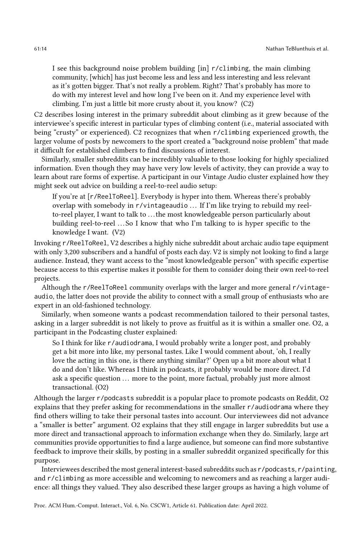I see this background noise problem building [in] r/climbing, the main climbing community, [which] has just become less and less and less interesting and less relevant as it's gotten bigger. That's not really a problem. Right? That's probably has more to do with my interest level and how long I've been on it. And my experience level with climbing. I'm just a little bit more crusty about it, you know? (C2)

C2 describes losing interest in the primary subreddit about climbing as it grew because of the interviewee's specific interest in particular types of climbing content (i.e., material associated with being "crusty" or experienced). C2 recognizes that when r/climbing experienced growth, the larger volume of posts by newcomers to the sport created a "background noise problem" that made it difficult for established climbers to find discussions of interest.

Similarly, smaller subreddits can be incredibly valuable to those looking for highly specialized information. Even though they may have very low levels of activity, they can provide a way to learn about rare forms of expertise. A participant in our Vintage Audio cluster explained how they might seek out advice on building a reel-to-reel audio setup:

If you're at [r/ReelToReel]. Everybody is hyper into them. Whereas there's probably overlap with somebody in r/vintageaudio ... If I'm like trying to rebuild my reelto-reel player, I want to talk to ... the most knowledgeable person particularly about building reel-to-reel ...So I know that who I'm talking to is hyper specific to the knowledge I want. (V2)

Invoking r/ReelToReel, V2 describes a highly niche subreddit about archaic audio tape equipment with only 3,200 subscribers and a handful of posts each day. V2 is simply not looking to find a large audience. Instead, they want access to the "most knowledgeable person" with specific expertise because access to this expertise makes it possible for them to consider doing their own reel-to-reel projects.

Although the r/ReelToReel community overlaps with the larger and more general r/vintageaudio, the latter does not provide the ability to connect with a small group of enthusiasts who are expert in an old-fashioned technology.

Similarly, when someone wants a podcast recommendation tailored to their personal tastes, asking in a larger subreddit is not likely to prove as fruitful as it is within a smaller one. O2, a participant in the Podcasting cluster explained:

So I think for like r/audiodrama, I would probably write a longer post, and probably get a bit more into like, my personal tastes. Like I would comment about, 'oh, I really love the acting in this one, is there anything similar?' Open up a bit more about what I do and don't like. Whereas I think in podcasts, it probably would be more direct. I'd ask a specific question ... more to the point, more factual, probably just more almost transactional. (O2)

Although the larger r/podcasts subreddit is a popular place to promote podcasts on Reddit, O2 explains that they prefer asking for recommendations in the smaller r/audiodrama where they find others willing to take their personal tastes into account. Our interviewees did not advance a "smaller is better" argument. O2 explains that they still engage in larger subreddits but use a more direct and transactional approach to information exchange when they do. Similarly, large art communities provide opportunities to find a large audience, but someone can find more substantive feedback to improve their skills, by posting in a smaller subreddit organized specifically for this purpose.

Interviewees described the most general interest-based subreddits such as r/podcasts, r/painting, and r/climbing as more accessible and welcoming to newcomers and as reaching a larger audience: all things they valued. They also described these larger groups as having a high volume of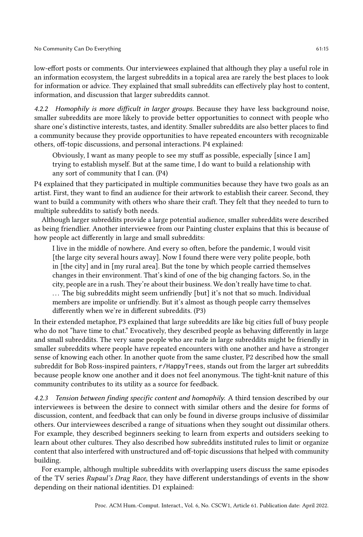low-effort posts or comments. Our interviewees explained that although they play a useful role in an information ecosystem, the largest subreddits in a topical area are rarely the best places to look for information or advice. They explained that small subreddits can effectively play host to content, information, and discussion that larger subreddits cannot.

4.2.2 Homophily is more difficult in larger groups. Because they have less background noise, smaller subreddits are more likely to provide better opportunities to connect with people who share one's distinctive interests, tastes, and identity. Smaller subreddits are also better places to find a community because they provide opportunities to have repeated encounters with recognizable others, off-topic discussions, and personal interactions. P4 explained:

Obviously, I want as many people to see my stuff as possible, especially [since I am] trying to establish myself. But at the same time, I do want to build a relationship with any sort of community that I can. (P4)

P4 explained that they participated in multiple communities because they have two goals as an artist. First, they want to find an audience for their artwork to establish their career. Second, they want to build a community with others who share their craft. They felt that they needed to turn to multiple subreddits to satisfy both needs.

Although larger subreddits provide a large potential audience, smaller subreddits were described as being friendlier. Another interviewee from our Painting cluster explains that this is because of how people act differently in large and small subreddits:

I live in the middle of nowhere. And every so often, before the pandemic, I would visit [the large city several hours away]. Now I found there were very polite people, both in [the city] and in [my rural area]. But the tone by which people carried themselves changes in their environment. That's kind of one of the big changing factors. So, in the city, people are in a rush. They're about their business. We don't really have time to chat. . . . The big subreddits might seem unfriendly [but] it's not that so much. Individual members are impolite or unfriendly. But it's almost as though people carry themselves differently when we're in different subreddits. (P3)

In their extended metaphor, P3 explained that large subreddits are like big cities full of busy people who do not "have time to chat." Evocatively, they described people as behaving differently in large and small subreddits. The very same people who are rude in large subreddits might be friendly in smaller subreddits where people have repeated encounters with one another and have a stronger sense of knowing each other. In another quote from the same cluster, P2 described how the small subreddit for Bob Ross-inspired painters, r/HappyTrees, stands out from the larger art subreddits because people know one another and it does not feel anonymous. The tight-knit nature of this community contributes to its utility as a source for feedback.

4.2.3 Tension between finding specific content and homophily. A third tension described by our interviewees is between the desire to connect with similar others and the desire for forms of discussion, content, and feedback that can only be found in diverse groups inclusive of dissimilar others. Our interviewees described a range of situations when they sought out dissimilar others. For example, they described beginners seeking to learn from experts and outsiders seeking to learn about other cultures. They also described how subreddits instituted rules to limit or organize content that also interfered with unstructured and off-topic discussions that helped with community building.

For example, although multiple subreddits with overlapping users discuss the same episodes of the TV series Rupaul's Drag Race, they have different understandings of events in the show depending on their national identities. D1 explained: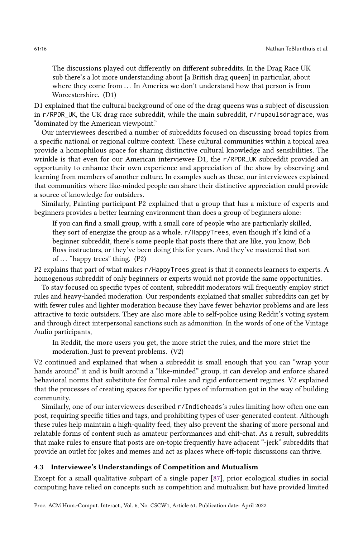The discussions played out differently on different subreddits. In the Drag Race UK sub there's a lot more understanding about [a British drag queen] in particular, about where they come from ... In America we don't understand how that person is from Worcestershire. (D1)

D1 explained that the cultural background of one of the drag queens was a subject of discussion in r/RPDR\_UK, the UK drag race subreddit, while the main subreddit, r/rupaulsdragrace, was "dominated by the American viewpoint."

Our interviewees described a number of subreddits focused on discussing broad topics from a specific national or regional culture context. These cultural communities within a topical area provide a homophilous space for sharing distinctive cultural knowledge and sensibilities. The wrinkle is that even for our American interviewee D1, the r/RPDR\_UK subreddit provided an opportunity to enhance their own experience and appreciation of the show by observing and learning from members of another culture. In examples such as these, our interviewees explained that communities where like-minded people can share their distinctive appreciation could provide a source of knowledge for outsiders.

Similarly, Painting participant P2 explained that a group that has a mixture of experts and beginners provides a better learning environment than does a group of beginners alone:

If you can find a small group, with a small core of people who are particularly skilled, they sort of energize the group as a whole. r/HappyTrees, even though it's kind of a beginner subreddit, there's some people that posts there that are like, you know, Bob Ross instructors, or they've been doing this for years. And they've mastered that sort of  $\ldots$  "happy trees" thing. (P2)

P2 explains that part of what makes r/HappyTrees great is that it connects learners to experts. A homogenous subreddit of only beginners or experts would not provide the same opportunities.

To stay focused on specific types of content, subreddit moderators will frequently employ strict rules and heavy-handed moderation. Our respondents explained that smaller subreddits can get by with fewer rules and lighter moderation because they have fewer behavior problems and are less attractive to toxic outsiders. They are also more able to self-police using Reddit's voting system and through direct interpersonal sanctions such as admonition. In the words of one of the Vintage Audio participants,

In Reddit, the more users you get, the more strict the rules, and the more strict the moderation. Just to prevent problems. (V2)

V2 continued and explained that when a subreddit is small enough that you can "wrap your hands around" it and is built around a "like-minded" group, it can develop and enforce shared behavioral norms that substitute for formal rules and rigid enforcement regimes. V2 explained that the processes of creating spaces for specific types of information got in the way of building community.

Similarly, one of our interviewees described r/Indieheads's rules limiting how often one can post, requiring specific titles and tags, and prohibiting types of user-generated content. Although these rules help maintain a high-quality feed, they also prevent the sharing of more personal and relatable forms of content such as amateur performances and chit-chat. As a result, subreddits that make rules to ensure that posts are on-topic frequently have adjacent "-jerk" subreddits that provide an outlet for jokes and memes and act as places where off-topic discussions can thrive.

# <span id="page-15-0"></span>4.3 Interviewee's Understandings of Competition and Mutualism

Except for a small qualitative subpart of a single paper [\[87\]](#page-24-1), prior ecological studies in social computing have relied on concepts such as competition and mutualism but have provided limited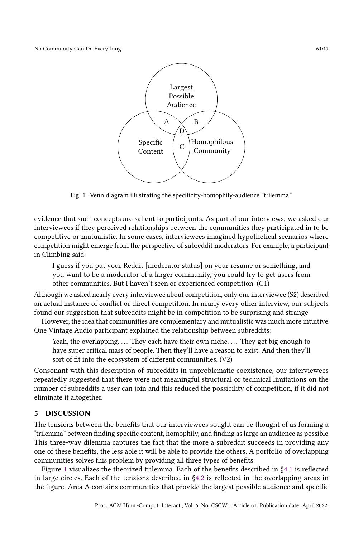<span id="page-16-1"></span>

Fig. 1. Venn diagram illustrating the specificity-homophily-audience "trilemma."

evidence that such concepts are salient to participants. As part of our interviews, we asked our interviewees if they perceived relationships between the communities they participated in to be competitive or mutualistic. In some cases, interviewees imagined hypothetical scenarios where competition might emerge from the perspective of subreddit moderators. For example, a participant in Climbing said:

I guess if you put your Reddit [moderator status] on your resume or something, and you want to be a moderator of a larger community, you could try to get users from other communities. But I haven't seen or experienced competition. (C1)

Although we asked nearly every interviewee about competition, only one interviewee (S2) described an actual instance of conflict or direct competition. In nearly every other interview, our subjects found our suggestion that subreddits might be in competition to be surprising and strange.

However, the idea that communities are complementary and mutualistic was much more intuitive. One Vintage Audio participant explained the relationship between subreddits:

Yeah, the overlapping. ... They each have their own niche. ... They get big enough to have super critical mass of people. Then they'll have a reason to exist. And then they'll sort of fit into the ecosystem of different communities. (V2)

Consonant with this description of subreddits in unproblematic coexistence, our interviewees repeatedly suggested that there were not meaningful structural or technical limitations on the number of subreddits a user can join and this reduced the possibility of competition, if it did not eliminate it altogether.

# <span id="page-16-0"></span>5 DISCUSSION

The tensions between the benefits that our interviewees sought can be thought of as forming a "trilemma" between finding specific content, homophily, and finding as large an audience as possible. This three-way dilemma captures the fact that the more a subreddit succeeds in providing any one of these benefits, the less able it will be able to provide the others. A portfolio of overlapping communities solves this problem by providing all three types of benefits.

Figure [1](#page-16-1) visualizes the theorized trilemma. Each of the benefits described in [§4.1](#page-7-1) is reflected in large circles. Each of the tensions described in [§4.2](#page-12-0) is reflected in the overlapping areas in the figure. Area A contains communities that provide the largest possible audience and specific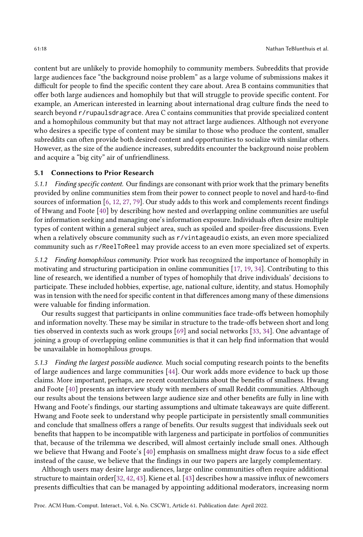content but are unlikely to provide homophily to community members. Subreddits that provide large audiences face "the background noise problem" as a large volume of submissions makes it difficult for people to find the specific content they care about. Area B contains communities that offer both large audiences and homophily but that will struggle to provide specific content. For example, an American interested in learning about international drag culture finds the need to search beyond r/rupaulsdragrace. Area C contains communities that provide specialized content and a homophilous community but that may not attract large audiences. Although not everyone who desires a specific type of content may be similar to those who produce the content, smaller subreddits can often provide both desired content and opportunities to socialize with similar others. However, as the size of the audience increases, subreddits encounter the background noise problem and acquire a "big city" air of unfriendliness.

# 5.1 Connections to Prior Research

5.1.1 Finding specific content. Our findings are consonant with prior work that the primary benefits provided by online communities stem from their power to connect people to novel and hard-to-find sources of information [\[6,](#page-20-2) [12,](#page-21-17) [27,](#page-21-8) [79\]](#page-23-23). Our study adds to this work and complements recent findings of Hwang and Foote [\[40\]](#page-22-1) by describing how nested and overlapping online communities are useful for information seeking and managing one's information exposure. Individuals often desire multiple types of content within a general subject area, such as spoiled and spoiler-free discussions. Even when a relatively obscure community such as r/vintageaudio exists, an even more specialized community such as r/ReelToReel may provide access to an even more specialized set of experts.

5.1.2 Finding homophilous community. Prior work has recognized the importance of homophily in motivating and structuring participation in online communities [\[17,](#page-21-13) [19,](#page-21-6) [34\]](#page-21-12). Contributing to this line of research, we identified a number of types of homophily that drive individuals' decisions to participate. These included hobbies, expertise, age, national culture, identity, and status. Homophily was in tension with the need for specific content in that differences among many of these dimensions were valuable for finding information.

Our results suggest that participants in online communities face trade-offs between homophily and information novelty. These may be similar in structure to the trade-offs between short and long ties observed in contexts such as work groups [\[69\]](#page-23-24) and social networks [\[33,](#page-21-18) [34\]](#page-21-12). One advantage of joining a group of overlapping online communities is that it can help find information that would be unavailable in homophilous groups.

5.1.3 Finding the largest possible audience. Much social computing research points to the benefits of large audiences and large communities [\[44\]](#page-22-2). Our work adds more evidence to back up those claims. More important, perhaps, are recent counterclaims about the benefits of smallness. Hwang and Foote [\[40\]](#page-22-1) presents an interview study with members of small Reddit communities. Although our results about the tensions between large audience size and other benefits are fully in line with Hwang and Foote's findings, our starting assumptions and ultimate takeaways are quite different. Hwang and Foote seek to understand why people participate in persistently small communities and conclude that smallness offers a range of benefits. Our results suggest that individuals seek out benefits that happen to be incompatible with largeness and participate in portfolios of communities that, because of the trilemma we described, will almost certainly include small ones. Although we believe that Hwang and Foote's [\[40\]](#page-22-1) emphasis on smallness might draw focus to a side effect instead of the cause, we believe that the findings in our two papers are largely complementary.

Although users may desire large audiences, large online communities often require additional structure to maintain order[\[32,](#page-21-19) [42,](#page-22-3) [43\]](#page-22-18). Kiene et al. [\[43\]](#page-22-18) describes how a massive influx of newcomers presents difficulties that can be managed by appointing additional moderators, increasing norm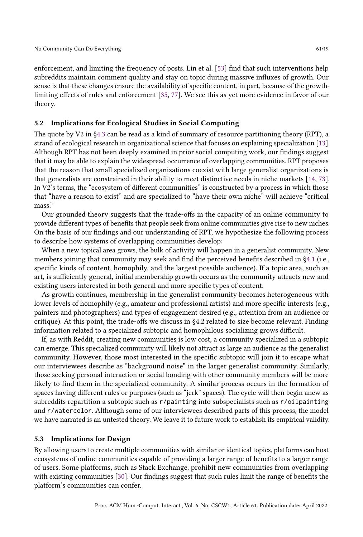enforcement, and limiting the frequency of posts. Lin et al. [\[53\]](#page-22-19) find that such interventions help subreddits maintain comment quality and stay on topic during massive influxes of growth. Our sense is that these changes ensure the availability of specific content, in part, because of the growthlimiting effects of rules and enforcement [\[35,](#page-22-9) [77\]](#page-23-12). We see this as yet more evidence in favor of our theory.

# 5.2 Implications for Ecological Studies in Social Computing

The quote by V2 in [§4.3](#page-15-0) can be read as a kind of summary of resource partitioning theory (RPT), a strand of ecological research in organizational science that focuses on explaining specialization [\[13\]](#page-21-20). Although RPT has not been deeply examined in prior social computing work, our findings suggest that it may be able to explain the widespread occurrence of overlapping communities. RPT proposes that the reason that small specialized organizations coexist with large generalist organizations is that generalists are constrained in their ability to meet distinctive needs in niche markets [\[14,](#page-21-21) [73\]](#page-23-25). In V2's terms, the "ecosystem of different communities" is constructed by a process in which those that "have a reason to exist" and are specialized to "have their own niche" will achieve "critical mass."

Our grounded theory suggests that the trade-offs in the capacity of an online community to provide different types of benefits that people seek from online communities give rise to new niches. On the basis of our findings and our understanding of RPT, we hypothesize the following process to describe how systems of overlapping communities develop:

When a new topical area grows, the bulk of activity will happen in a generalist community. New members joining that community may seek and find the perceived benefits described in [§4.1](#page-7-1) (i.e., specific kinds of content, homophily, and the largest possible audience). If a topic area, such as art, is sufficiently general, initial membership growth occurs as the community attracts new and existing users interested in both general and more specific types of content.

As growth continues, membership in the generalist community becomes heterogeneous with lower levels of homophily (e.g., amateur and professional artists) and more specific interests (e.g., painters and photographers) and types of engagement desired (e.g., attention from an audience or critique). At this point, the trade-offs we discuss in §4.2 related to size become relevant. Finding information related to a specialized subtopic and homophilous socializing grows difficult.

If, as with Reddit, creating new communities is low cost, a community specialized in a subtopic can emerge. This specialized community will likely not attract as large an audience as the generalist community. However, those most interested in the specific subtopic will join it to escape what our interviewees describe as "background noise" in the larger generalist community. Similarly, those seeking personal interaction or social bonding with other community members will be more likely to find them in the specialized community. A similar process occurs in the formation of spaces having different rules or purposes (such as "jerk" spaces). The cycle will then begin anew as subreddits repartition a subtopic such as r/painting into subspecialists such as r/oilpainting and r/watercolor. Although some of our interviewees described parts of this process, the model we have narrated is an untested theory. We leave it to future work to establish its empirical validity.

#### 5.3 Implications for Design

By allowing users to create multiple communities with similar or identical topics, platforms can host ecosystems of online communities capable of providing a larger range of benefits to a larger range of users. Some platforms, such as Stack Exchange, prohibit new communities from overlapping with existing communities [\[30\]](#page-21-22). Our findings suggest that such rules limit the range of benefits the platform's communities can confer.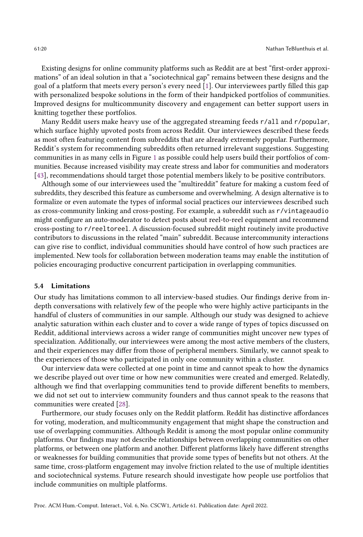Existing designs for online community platforms such as Reddit are at best "first-order approximations" of an ideal solution in that a "sociotechnical gap" remains between these designs and the goal of a platform that meets every person's every need [\[1\]](#page-20-9). Our interviewees partly filled this gap with personalized bespoke solutions in the form of their handpicked portfolios of communities. Improved designs for multicommunity discovery and engagement can better support users in knitting together these portfolios.

Many Reddit users make heavy use of the aggregated streaming feeds r/all and r/popular, which surface highly upvoted posts from across Reddit. Our interviewees described these feeds as most often featuring content from subreddits that are already extremely popular. Furthermore, Reddit's system for recommending subreddits often returned irrelevant suggestions. Suggesting communities in as many cells in Figure [1](#page-16-1) as possible could help users build their portfolios of communities. Because increased visibility may create stress and labor for communities and moderators [\[43\]](#page-22-18), recommendations should target those potential members likely to be positive contributors.

Although some of our interviewees used the "multireddit" feature for making a custom feed of subreddits, they described this feature as cumbersome and overwhelming. A design alternative is to formalize or even automate the types of informal social practices our interviewees described such as cross-community linking and cross-posting. For example, a subreddit such as r/vintageaudio might configure an auto-moderator to detect posts about reel-to-reel equipment and recommend cross-posting to r/reeltoreel. A discussion-focused subreddit might routinely invite productive contributors to discussions in the related "main" subreddit. Because intercommunity interactions can give rise to conflict, individual communities should have control of how such practices are implemented. New tools for collaboration between moderation teams may enable the institution of policies encouraging productive concurrent participation in overlapping communities.

#### 5.4 Limitations

Our study has limitations common to all interview-based studies. Our findings derive from indepth conversations with relatively few of the people who were highly active participants in the handful of clusters of communities in our sample. Although our study was designed to achieve analytic saturation within each cluster and to cover a wide range of types of topics discussed on Reddit, additional interviews across a wider range of communities might uncover new types of specialization. Additionally, our interviewees were among the most active members of the clusters, and their experiences may differ from those of peripheral members. Similarly, we cannot speak to the experiences of those who participated in only one community within a cluster.

Our interview data were collected at one point in time and cannot speak to how the dynamics we describe played out over time or how new communities were created and emerged. Relatedly, although we find that overlapping communities tend to provide different benefits to members, we did not set out to interview community founders and thus cannot speak to the reasons that communities were created [\[28\]](#page-21-23).

Furthermore, our study focuses only on the Reddit platform. Reddit has distinctive affordances for voting, moderation, and multicommunity engagement that might shape the construction and use of overlapping communities. Although Reddit is among the most popular online community platforms. Our findings may not describe relationships between overlapping communities on other platforms, or between one platform and another. Different platforms likely have different strengths or weaknesses for building communities that provide some types of benefits but not others. At the same time, cross-platform engagement may involve friction related to the use of multiple identities and sociotechnical systems. Future research should investigate how people use portfolios that include communities on multiple platforms.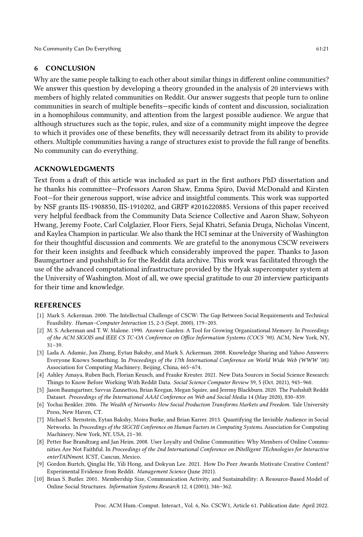# 6 CONCLUSION

Why are the same people talking to each other about similar things in different online communities? We answer this question by developing a theory grounded in the analysis of 20 interviews with members of highly related communities on Reddit. Our answer suggests that people turn to online communities in search of multiple benefits—specific kinds of content and discussion, socialization in a homophilous community, and attention from the largest possible audience. We argue that although structures such as the topic, rules, and size of a community might improve the degree to which it provides one of these benefits, they will necessarily detract from its ability to provide others. Multiple communities having a range of structures exist to provide the full range of benefits. No community can do everything.

## ACKNOWLEDGMENTS

Text from a draft of this article was included as part in the first authors PhD dissertation and he thanks his committee—Professors Aaron Shaw, Emma Spiro, David McDonald and Kirsten Foot—for their generous support, wise advice and insightful comments. This work was supported by NSF grants IIS-1908850, IIS-1910202, and GRFP #2016220885. Versions of this paper received very helpful feedback from the Community Data Science Collective and Aaron Shaw, Sohyeon Hwang, Jeremy Foote, Carl Colglazier, Floor Fiers, Sejal Khatri, Sefania Druga, Nicholas Vincent, and Kaylea Champion in particular. We also thank the HCI seminar at the University of Washington for their thoughtful discussion and comments. We are grateful to the anonymous CSCW reveiwers for their keen insights and feedback which considerably improved the paper. Thanks to Jason Baumgartner and pushshift.io for the Reddit data archive. This work was facilitated through the use of the advanced computational infrastructure provided by the Hyak supercomputer system at the University of Washington. Most of all, we owe special gratitude to our 20 interview participants for their time and knowledge.

# REFERENCES

- <span id="page-20-9"></span>[1] Mark S. Ackerman. 2000. The Intellectual Challenge of CSCW: The Gap Between Social Requirements and Technical Feasibility. Human–Computer Interaction 15, 2-3 (Sept. 2000), 179–203.
- <span id="page-20-4"></span>[2] M. S. Ackerman and T. W. Malone. 1990. Answer Garden: A Tool for Growing Organizational Memory. In Proceedings of the ACM SIGOIS and IEEE CS TC-OA Conference on Office Information Systems (COCS '90). ACM, New York, NY, 31–39.
- <span id="page-20-3"></span>[3] Lada A. Adamic, Jun Zhang, Eytan Bakshy, and Mark S. Ackerman. 2008. Knowledge Sharing and Yahoo Answers: Everyone Knows Something. In Proceedings of the 17th International Conference on World Wide Web (WWW '08). Association for Computing Machinery, Beijing, China, 665–674.
- <span id="page-20-8"></span>[4] Ashley Amaya, Ruben Bach, Florian Keusch, and Frauke Kreuter. 2021. New Data Sources in Social Science Research: Things to Know Before Working With Reddit Data. Social Science Computer Review 39, 5 (Oct. 2021), 943–960.
- <span id="page-20-7"></span>[5] Jason Baumgartner, Savvas Zannettou, Brian Keegan, Megan Squire, and Jeremy Blackburn. 2020. The Pushshift Reddit Dataset. Proceedings of the International AAAI Conference on Web and Social Media 14 (May 2020), 830–839.
- <span id="page-20-2"></span>[6] Yochai Benkler. 2006. The Wealth of Networks: How Social Production Transforms Markets and Freedom. Yale University Press, New Haven, CT.
- <span id="page-20-5"></span>[7] Michael S. Bernstein, Eytan Bakshy, Moira Burke, and Brian Karrer. 2013. Quantifying the Invisible Audience in Social Networks. In Proceedings of the SIGCHI Conference on Human Factors in Computing Systems. Association for Computing Machinery, New York, NY, USA, 21–30.
- <span id="page-20-1"></span>[8] Petter Bae Brandtzæg and Jan Heim. 2008. User Loyalty and Online Communities: Why Members of Online Communities Are Not Faithful. In Proceedings of the 2nd International Conference on INtelligent TEchnologies for Interactive enterTAINment. ICST, Cancun, Mexico.
- <span id="page-20-6"></span>[9] Gordon Burtch, Qinglai He, Yili Hong, and Dokyun Lee. 2021. How Do Peer Awards Motivate Creative Content? Experimental Evidence from Reddit. Management Science (June 2021).
- <span id="page-20-0"></span>[10] Brian S. Butler. 2001. Membership Size, Communication Activity, and Sustainability: A Resource-Based Model of Online Social Structures. Information Systems Research 12, 4 (2001), 346–362.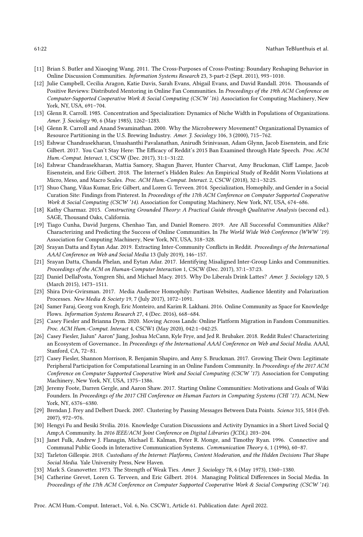- <span id="page-21-4"></span>[11] Brian S. Butler and Xiaoqing Wang. 2011. The Cross-Purposes of Cross-Posting: Boundary Reshaping Behavior in Online Discussion Communities. Information Systems Research 23, 3-part-2 (Sept. 2011), 993–1010.
- <span id="page-21-17"></span>[12] Julie Campbell, Cecilia Aragon, Katie Davis, Sarah Evans, Abigail Evans, and David Randall. 2016. Thousands of Positive Reviews: Distributed Mentoring in Online Fan Communities. In Proceedings of the 19th ACM Conference on Computer-Supported Cooperative Work & Social Computing (CSCW '16). Association for Computing Machinery, New York, NY, USA, 691–704.
- <span id="page-21-20"></span>[13] Glenn R. Carroll. 1985. Concentration and Specialization: Dynamics of Niche Width in Populations of Organizations. Amer. J. Sociology 90, 6 (May 1985), 1262–1283.
- <span id="page-21-21"></span>[14] Glenn R. Carroll and Anand Swaminathan. 2000. Why the Microbrewery Movement? Organizational Dynamics of Resource Partitioning in the U.S. Brewing Industry. Amer. J. Sociology 106, 3 (2000), 715–762.
- <span id="page-21-5"></span>[15] Eshwar Chandrasekharan, Umashanthi Pavalanathan, Anirudh Srinivasan, Adam Glynn, Jacob Eisenstein, and Eric Gilbert. 2017. You Can't Stay Here: The Efficacy of Reddit's 2015 Ban Examined through Hate Speech. Proc. ACM Hum.-Comput. Interact. 1, CSCW (Dec. 2017), 31:1–31:22.
- <span id="page-21-1"></span>[16] Eshwar Chandrasekharan, Mattia Samory, Shagun Jhaver, Hunter Charvat, Amy Bruckman, Cliff Lampe, Jacob Eisenstein, and Eric Gilbert. 2018. The Internet's Hidden Rules: An Empirical Study of Reddit Norm Violations at Micro, Meso, and Macro Scales. Proc. ACM Hum.-Comput. Interact. 2, CSCW (2018), 32:1–32:25.
- <span id="page-21-13"></span>[17] Shuo Chang, Vikas Kumar, Eric Gilbert, and Loren G. Terveen. 2014. Specialization, Homophily, and Gender in a Social Curation Site: Findings from Pinterest. In Proceedings of the 17th ACM Conference on Computer Supported Cooperative Work & Social Computing (CSCW '14). Association for Computing Machinery, New York, NY, USA, 674–686.
- <span id="page-21-16"></span>[18] Kathy Charmaz. 2015. Constructing Grounded Theory: A Practical Guide through Qualitative Analysis (second ed.). SAGE, Thousand Oaks, California.
- <span id="page-21-6"></span>[19] Tiago Cunha, David Jurgens, Chenhao Tan, and Daniel Romero. 2019. Are All Successful Communities Alike? Characterizing and Predicting the Success of Online Communities. In The World Wide Web Conference (WWW '19). Association for Computing Machinery, New York, NY, USA, 318–328.
- <span id="page-21-0"></span>[20] Srayan Datta and Eytan Adar. 2019. Extracting Inter-Community Conflicts in Reddit. Proceedings of the International AAAI Conference on Web and Social Media 13 (July 2019), 146–157.
- <span id="page-21-2"></span>[21] Srayan Datta, Chanda Phelan, and Eytan Adar. 2017. Identifying Misaligned Inter-Group Links and Communities. Proceedings of the ACM on Human-Computer Interaction 1, CSCW (Dec. 2017), 37:1–37:23.
- <span id="page-21-10"></span>[22] Daniel DellaPosta, Yongren Shi, and Michael Macy. 2015. Why Do Liberals Drink Lattes? Amer. J. Sociology 120, 5 (March 2015), 1473–1511.
- <span id="page-21-11"></span>[23] Shira Dvir-Gvirsman. 2017. Media Audience Homophily: Partisan Websites, Audience Identity and Polarization Processes. New Media & Society 19, 7 (July 2017), 1072–1091.
- <span id="page-21-7"></span>[24] Samer Faraj, Georg von Krogh, Eric Monteiro, and Karim R. Lakhani. 2016. Online Community as Space for Knowledge Flows. Information Systems Research 27, 4 (Dec. 2016), 668–684.
- <span id="page-21-3"></span>[25] Casey Fiesler and Brianna Dym. 2020. Moving Across Lands: Online Platform Migration in Fandom Communities. Proc. ACM Hum.-Comput. Interact 4, CSCW1 (May 2020), 042:1–042:25.
- <span id="page-21-14"></span>[26] Casey Fiesler, Jialun" Aaron" Jiang, Joshua McCann, Kyle Frye, and Jed R. Brubaker. 2018. Reddit Rules! Characterizing an Ecosystem of Governance.. In Proceedings of the International AAAI Conference on Web and Social Media. AAAI, Stanford, CA, 72–81.
- <span id="page-21-8"></span>[27] Casey Fiesler, Shannon Morrison, R. Benjamin Shapiro, and Amy S. Bruckman. 2017. Growing Their Own: Legitimate Peripheral Participation for Computational Learning in an Online Fandom Community. In Proceedings of the 2017 ACM Conference on Computer Supported Cooperative Work and Social Computing (CSCW '17). Association for Computing Machinery, New York, NY, USA, 1375–1386.
- <span id="page-21-23"></span>[28] Jeremy Foote, Darren Gergle, and Aaron Shaw. 2017. Starting Online Communities: Motivations and Goals of Wiki Founders. In Proceedings of the 2017 CHI Conference on Human Factors in Computing Systems (CHI '17). ACM, New York, NY, 6376–6380.
- <span id="page-21-15"></span>[29] Brendan J. Frey and Delbert Dueck. 2007. Clustering by Passing Messages Between Data Points. Science 315, 5814 (Feb. 2007), 972–976.
- <span id="page-21-22"></span>[30] Hengyi Fu and Besiki Stvilia. 2016. Knowledge Curation Discussions and Activity Dynamics in a Short Lived Social Q Amp;A Community. In 2016 IEEE/ACM Joint Conference on Digital Libraries (JCDL). 203–204.
- <span id="page-21-9"></span>[31] Janet Fulk, Andrew J. Flanagin, Michael E. Kalman, Peter R. Monge, and Timothy Ryan. 1996. Connective and Communal Public Goods in Interactive Communication Systems. Communication Theory 6, 1 (1996), 60–87.
- <span id="page-21-19"></span>[32] Tarleton Gillespie. 2018. Custodians of the Internet: Platforms, Content Moderation, and the Hidden Decisions That Shape Social Media. Yale University Press, New Haven.
- <span id="page-21-18"></span>[33] Mark S. Granovetter. 1973. The Strength of Weak Ties. Amer. J. Sociology 78, 6 (May 1973), 1360–1380.
- <span id="page-21-12"></span>[34] Catherine Grevet, Loren G. Terveen, and Eric Gilbert. 2014. Managing Political Differences in Social Media. In Proceedings of the 17th ACM Conference on Computer Supported Cooperative Work & Social Computing (CSCW '14).

Proc. ACM Hum.-Comput. Interact., Vol. 6, No. CSCW1, Article 61. Publication date: April 2022.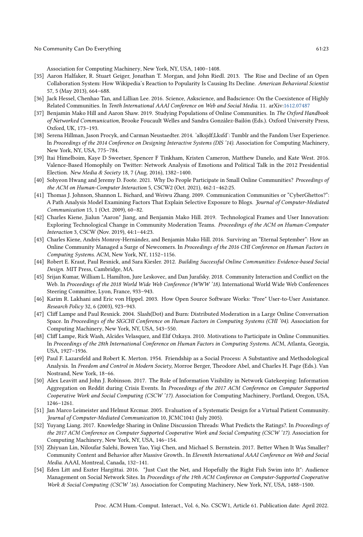Association for Computing Machinery, New York, NY, USA, 1400–1408.

- <span id="page-22-9"></span>[35] Aaron Halfaker, R. Stuart Geiger, Jonathan T. Morgan, and John Riedl. 2013. The Rise and Decline of an Open Collaboration System: How Wikipedia's Reaction to Popularity Is Causing Its Decline. American Behavioral Scientist 57, 5 (May 2013), 664–688.
- <span id="page-22-17"></span>[36] Jack Hessel, Chenhao Tan, and Lillian Lee. 2016. Science, Askscience, and Badscience: On the Coexistence of Highly Related Communities. In Tenth International AAAI Conference on Web and Social Media. 11. arXiv[:1612.07487](https://arxiv.org/abs/1612.07487)
- <span id="page-22-0"></span>[37] Benjamin Mako Hill and Aaron Shaw. 2019. Studying Populations of Online Communities. In The Oxford Handbook of Networked Communication, Brooke Foucault Welles and Sandra González-Bailón (Eds.). Oxford University Press, Oxford, UK, 173–193.
- <span id="page-22-14"></span>[38] Serena Hillman, Jason Procyk, and Carman Neustaedter. 2014. 'alksjdf;Lksfd': Tumblr and the Fandom User Experience. In Proceedings of the 2014 Conference on Designing Interactive Systems (DIS '14). Association for Computing Machinery, New York, NY, USA, 775–784.
- <span id="page-22-12"></span>[39] Itai Himelboim, Kaye D Sweetser, Spencer F Tinkham, Kristen Cameron, Matthew Danelo, and Kate West. 2016. Valence-Based Homophily on Twitter: Network Analysis of Emotions and Political Talk in the 2012 Presidential Election. New Media & Society 18, 7 (Aug. 2016), 1382–1400.
- <span id="page-22-1"></span>[40] Sohyeon Hwang and Jeremy D. Foote. 2021. Why Do People Participate in Small Online Communities? Proceedings of the ACM on Human-Computer Interaction 5, CSCW2 (Oct. 2021), 462:1–462:25.
- <span id="page-22-13"></span>[41] Thomas J. Johnson, Shannon L. Bichard, and Weiwu Zhang. 2009. Communication Communities or "CyberGhettos?": A Path Analysis Model Examining Factors That Explain Selective Exposure to Blogs. Journal of Computer-Mediated Communication 15, 1 (Oct. 2009), 60–82.
- <span id="page-22-3"></span>[42] Charles Kiene, Jialun "Aaron" Jiang, and Benjamin Mako Hill. 2019. Technological Frames and User Innovation: Exploring Technological Change in Community Moderation Teams. Proceedings of the ACM on Human-Computer Interaction 3, CSCW (Nov. 2019), 44:1–44:23.
- <span id="page-22-18"></span>[43] Charles Kiene, Andrés Monroy-Hernández, and Benjamin Mako Hill. 2016. Surviving an "Eternal September": How an Online Community Managed a Surge of Newcomers. In Proceedings of the 2016 CHI Conference on Human Factors in Computing Systems. ACM, New York, NY, 1152–1156.
- <span id="page-22-2"></span>[44] Robert E. Kraut, Paul Resnick, and Sara Kiesler. 2012. Building Successful Online Communities: Evidence-based Social Design. MIT Press, Cambridge, MA.
- <span id="page-22-4"></span>[45] Srijan Kumar, William L. Hamilton, Jure Leskovec, and Dan Jurafsky. 2018. Community Interaction and Conflict on the Web. In Proceedings of the 2018 World Wide Web Conference (WWW '18). International World Wide Web Conferences Steering Committee, Lyon, France, 933–943.
- <span id="page-22-10"></span>[46] Karim R. Lakhani and Eric von Hippel. 2003. How Open Source Software Works: "Free" User-to-User Assistance. Research Policy 32, 6 (2003), 923–943.
- <span id="page-22-16"></span>[47] Cliff Lampe and Paul Resnick. 2004. Slash(Dot) and Burn: Distributed Moderation in a Large Online Conversation Space. In Proceedings of the SIGCHI Conference on Human Factors in Computing Systems (CHI '04). Association for Computing Machinery, New York, NY, USA, 543–550.
- <span id="page-22-5"></span>[48] Cliff Lampe, Rick Wash, Alcides Velasquez, and Elif Ozkaya. 2010. Motivations to Participate in Online Communities. In Proceedings of the 28th International Conference on Human Factors in Computing Systems. ACM, Atlanta, Georgia, USA, 1927–1936.
- <span id="page-22-11"></span>[49] Paul F. Lazarsfeld and Robert K. Merton. 1954. Friendship as a Social Process: A Substantive and Methodological Analysis. In Freedom and Control in Modern Society, Morroe Berger, Theodore Abel, and Charles H. Page (Eds.). Van Nostrand, New York, 18–66.
- <span id="page-22-7"></span>[50] Alex Leavitt and John J. Robinson. 2017. The Role of Information Visibility in Network Gatekeeping: Information Aggregation on Reddit during Crisis Events. In Proceedings of the 2017 ACM Conference on Computer Supported Cooperative Work and Social Computing (CSCW '17). Association for Computing Machinery, Portland, Oregon, USA, 1246–1261.
- <span id="page-22-6"></span>[51] Jan Marco Leimeister and Helmut Krcmar. 2005. Evaluation of a Systematic Design for a Virtual Patient Community. Journal of Computer-Mediated Communication 10, JCMC1041 (July 2005).
- <span id="page-22-8"></span>[52] Yuyang Liang. 2017. Knowledge Sharing in Online Discussion Threads: What Predicts the Ratings?. In Proceedings of the 2017 ACM Conference on Computer Supported Cooperative Work and Social Computing (CSCW '17). Association for Computing Machinery, New York, NY, USA, 146–154.
- <span id="page-22-19"></span>[53] Zhiyuan Lin, Niloufar Salehi, Bowen Yao, Yiqi Chen, and Michael S. Bernstein. 2017. Better When It Was Smaller? Community Content and Behavior after Massive Growth.. In Eleventh International AAAI Conference on Web and Social Media. AAAI, Montreal, Canada, 132–141.
- <span id="page-22-15"></span>[54] Eden Litt and Eszter Hargittai. 2016. "Just Cast the Net, and Hopefully the Right Fish Swim into It": Audience Management on Social Network Sites. In Proceedings of the 19th ACM Conference on Computer-Supported Cooperative Work & Social Computing (CSCW '16). Association for Computing Machinery, New York, NY, USA, 1488–1500.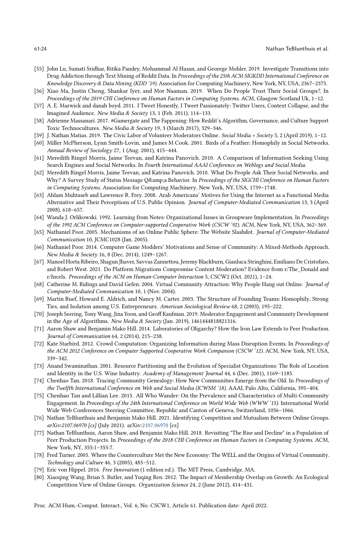- <span id="page-23-3"></span>[55] John Lu, Sumati Sridhar, Ritika Pandey, Mohammad Al Hasan, and Georege Mohler. 2019. Investigate Transitions into Drug Addiction through Text Mining of Reddit Data. In Proceedings of the 25th ACM SIGKDD International Conference on Knowledge Discovery & Data Mining (KDD '19). Association for Computing Machinery, New York, NY, USA, 2367–2375.
- <span id="page-23-18"></span>[56] Xiao Ma, Justin Cheng, Shankar Iyer, and Mor Naaman. 2019. When Do People Trust Their Social Groups?. In Proceedings of the 2019 CHI Conference on Human Factors in Computing Systems. ACM, Glasgow Scotland Uk, 1–12.
- <span id="page-23-19"></span>[57] A. E. Marwick and danah boyd. 2011. I Tweet Honestly, I Tweet Passionately: Twitter Users, Context Collapse, and the Imagined Audience. New Media & Society 13, 1 (Feb. 2011), 114–133.
- <span id="page-23-5"></span>[58] Adrienne Massanari. 2017. #Gamergate and The Fappening: How Reddit's Algorithm, Governance, and Culture Support Toxic Technocultures. New Media & Society 19, 3 (March 2017), 329–346.
- <span id="page-23-20"></span>[59] J. Nathan Matias. 2019. The Civic Labor of Volunteer Moderators Online. Social Media + Society 5, 2 (April 2019), 1–12.
- <span id="page-23-17"></span>[60] Miller McPherson, Lynn Smith-Lovin, and James M Cook. 2001. Birds of a Feather: Homophily in Social Networks. Annual Review of Sociology 27, 1 (Aug. 2001), 415–444.
- <span id="page-23-13"></span>[61] Meredith Ringel Morris, Jaime Teevan, and Katrina Panovich. 2010. A Comparison of Information Seeking Using Search Engines and Social Networks. In Fourth International AAAI Conference on Weblogs and Social Media.
- <span id="page-23-14"></span>[62] Meredith Ringel Morris, Jaime Teevan, and Katrina Panovich. 2010. What Do People Ask Their Social Networks, and Why? A Survey Study of Status Message Q&a Behavior. In Proceedings of the SIGCHI Conference on Human Factors in Computing Systems. Association for Computing Machinery, New York, NY, USA, 1739–1748.
- <span id="page-23-9"></span>[63] Ahlam Muhtaseb and Lawrence R. Frey. 2008. Arab Americans' Motives for Using the Internet as a Functional Media Alternative and Their Perceptions of U.S. Public Opinion. Journal of Computer-Mediated Communication 13, 3 (April 2008), 618–657.
- <span id="page-23-16"></span>[64] Wanda J. Orlikowski. 1992. Learning from Notes: Organizational Issues in Groupware Implementation. In Proceedings of the 1992 ACM Conference on Computer-supported Cooperative Work (CSCW '92). ACM, New York, NY, USA, 362–369.
- <span id="page-23-22"></span>[65] Nathaniel Poor. 2005. Mechanisms of an Online Public Sphere: The Website Slashdot. Journal of Computer-Mediated Communication 10, JCMC1028 (Jan. 2005).
- <span id="page-23-8"></span>[66] Nathaniel Poor. 2014. Computer Game Modders' Motivations and Sense of Community: A Mixed-Methods Approach. New Media & Society 16, 8 (Dec. 2014), 1249–1267.
- <span id="page-23-6"></span>[67] Manoel Horta Ribeiro, Shagun Jhaver, Savvas Zannettou, Jeremy Blackburn, Gianluca Stringhini, Emiliano De Cristofaro, and Robert West. 2021. Do Platform Migrations Compromise Content Moderation? Evidence from r/The\_Donald and r/Incels. Proceedings of the ACM on Human-Computer Interaction 5, CSCW2 (Oct. 2021), 1–24.
- <span id="page-23-10"></span>[68] Catherine M. Ridings and David Gefen. 2004. Virtual Community Attraction: Why People Hang out Online. Journal of Computer-Mediated Communication 10, 1 (Nov. 2004).
- <span id="page-23-24"></span>[69] Martin Ruef, Howard E. Aldrich, and Nancy M. Carter. 2003. The Structure of Founding Teams: Homophily, Strong Ties, and Isolation among U.S. Entrepreneurs. American Sociological Review 68, 2 (2003), 195–222.
- <span id="page-23-21"></span>[70] Joseph Seering, Tony Wang, Jina Yoon, and Geoff Kaufman. 2019. Moderator Engagement and Community Development in the Age of Algorithms. New Media & Society (Jan. 2019), 1461444818821316.
- <span id="page-23-11"></span>[71] Aaron Shaw and Benjamin Mako Hill. 2014. Laboratories of Oligarchy? How the Iron Law Extends to Peer Production. Journal of Communication 64, 2 (2014), 215–238.
- <span id="page-23-15"></span>[72] Kate Starbird. 2012. Crowd Computation: Organizing Information during Mass Disruption Events. In Proceedings of the ACM 2012 Conference on Computer Supported Cooperative Work Companion (CSCW '12). ACM, New York, NY, USA, 339–342.
- <span id="page-23-25"></span>[73] Anand Swaminathan. 2001. Resource Partitioning and the Evolution of Specialist Organizations: The Role of Location and Identity in the U.S. Wine Industry. Academy of Management Journal 44, 6 (Dec. 2001), 1169–1185.
- <span id="page-23-4"></span>[74] Chenhao Tan. 2018. Tracing Community Genealogy: How New Communities Emerge from the Old. In Proceedings of the Twelfth International Conference on Web and Social Media (ICWSM '18). AAAI, Palo Alto, California, 395–404.
- <span id="page-23-0"></span>[75] Chenhao Tan and Lillian Lee. 2015. All Who Wander: On the Prevalence and Characteristics of Multi-Community Engagement. In Proceedings of the 24th International Conference on World Wide Web (WWW '15). International World Wide Web Conferences Steering Committee, Republic and Canton of Geneva, Switzerland, 1056–1066.
- <span id="page-23-1"></span>[76] Nathan TeBlunthuis and Benjamin Mako Hill. 2021. Identifying Competition and Mutualism Between Online Groups. arXiv:2107.06970 [cs] (July 2021). arXiv[:2107.06970](https://arxiv.org/abs/2107.06970) [cs]
- <span id="page-23-12"></span>[77] Nathan TeBlunthuis, Aaron Shaw, and Benjamin Mako Hill. 2018. Revisiting "The Rise and Decline" in a Population of Peer Production Projects. In Proceedings of the 2018 CHI Conference on Human Factors in Computing Systems. ACM, New York, NY, 355:1–355:7.
- <span id="page-23-7"></span>[78] Fred Turner. 2005. Where the Counterculture Met the New Economy: The WELL and the Origins of Virtual Community. Technology and Culture 46, 3 (2005), 485–512.
- <span id="page-23-23"></span>[79] Eric von Hippel. 2016. Free Innovation (1 edition ed.). The MIT Press, Cambridge, MA.
- <span id="page-23-2"></span>[80] Xiaoqing Wang, Brian S. Butler, and Yuqing Ren. 2012. The Impact of Membership Overlap on Growth: An Ecological Competition View of Online Groups. Organization Science 24, 2 (June 2012), 414–431.

Proc. ACM Hum.-Comput. Interact., Vol. 6, No. CSCW1, Article 61. Publication date: April 2022.